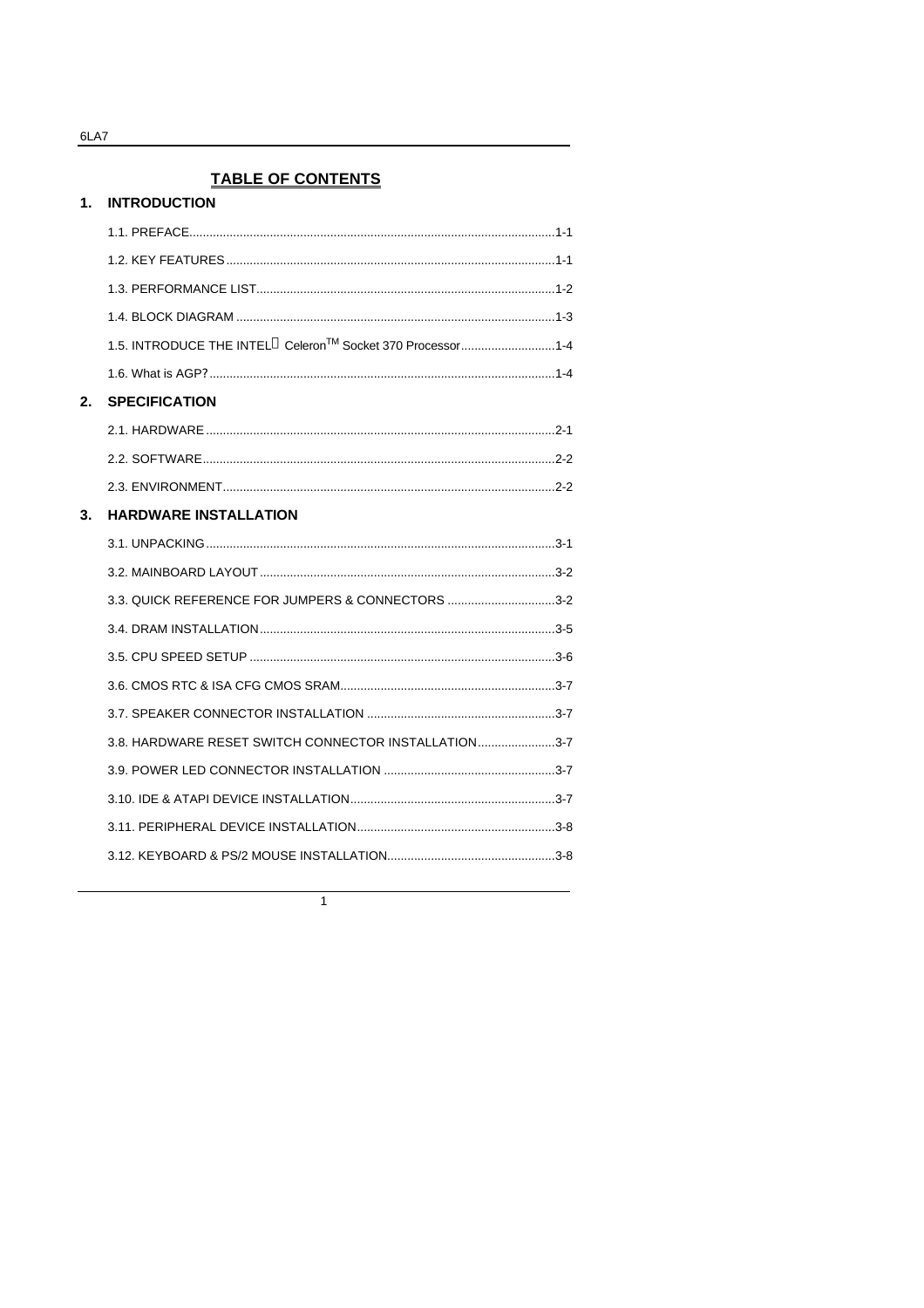1. INTRODUCTION

# **TABLE OF CONTENTS**

|    | 1.5. INTRODUCE THE INTEL <sup>®</sup> Celeron <sup>™</sup> Socket 370 Processor1-4 |  |
|----|------------------------------------------------------------------------------------|--|
|    |                                                                                    |  |
| 2. | <b>SPECIFICATION</b>                                                               |  |
|    |                                                                                    |  |
|    |                                                                                    |  |
|    |                                                                                    |  |
| 3. | <b>HARDWARE INSTALLATION</b>                                                       |  |
|    |                                                                                    |  |
|    |                                                                                    |  |
|    | 3.3. QUICK REFERENCE FOR JUMPERS & CONNECTORS 3-2                                  |  |
|    |                                                                                    |  |
|    |                                                                                    |  |
|    |                                                                                    |  |
|    |                                                                                    |  |
|    | 3.8. HARDWARE RESET SWITCH CONNECTOR INSTALLATION3-7                               |  |
|    |                                                                                    |  |
|    |                                                                                    |  |
|    |                                                                                    |  |
|    |                                                                                    |  |
|    |                                                                                    |  |

 $\overline{1}$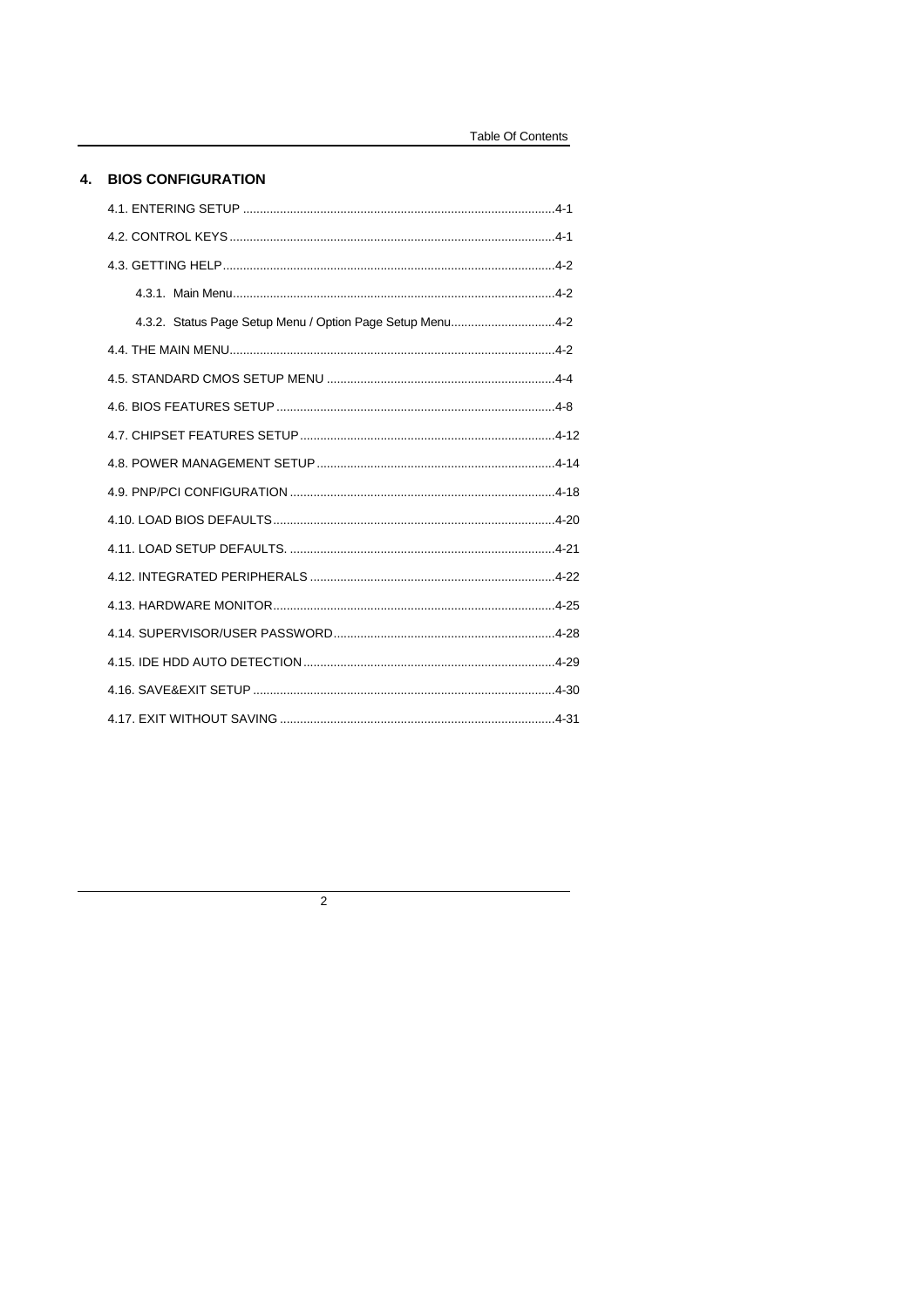### 4. BIOS CONFIGURATION

| 4.3.2. Status Page Setup Menu / Option Page Setup Menu4-2 |  |  |
|-----------------------------------------------------------|--|--|
|                                                           |  |  |
|                                                           |  |  |
|                                                           |  |  |
|                                                           |  |  |
|                                                           |  |  |
|                                                           |  |  |
|                                                           |  |  |
|                                                           |  |  |
|                                                           |  |  |
|                                                           |  |  |
|                                                           |  |  |
|                                                           |  |  |
|                                                           |  |  |
|                                                           |  |  |

 $\overline{2}$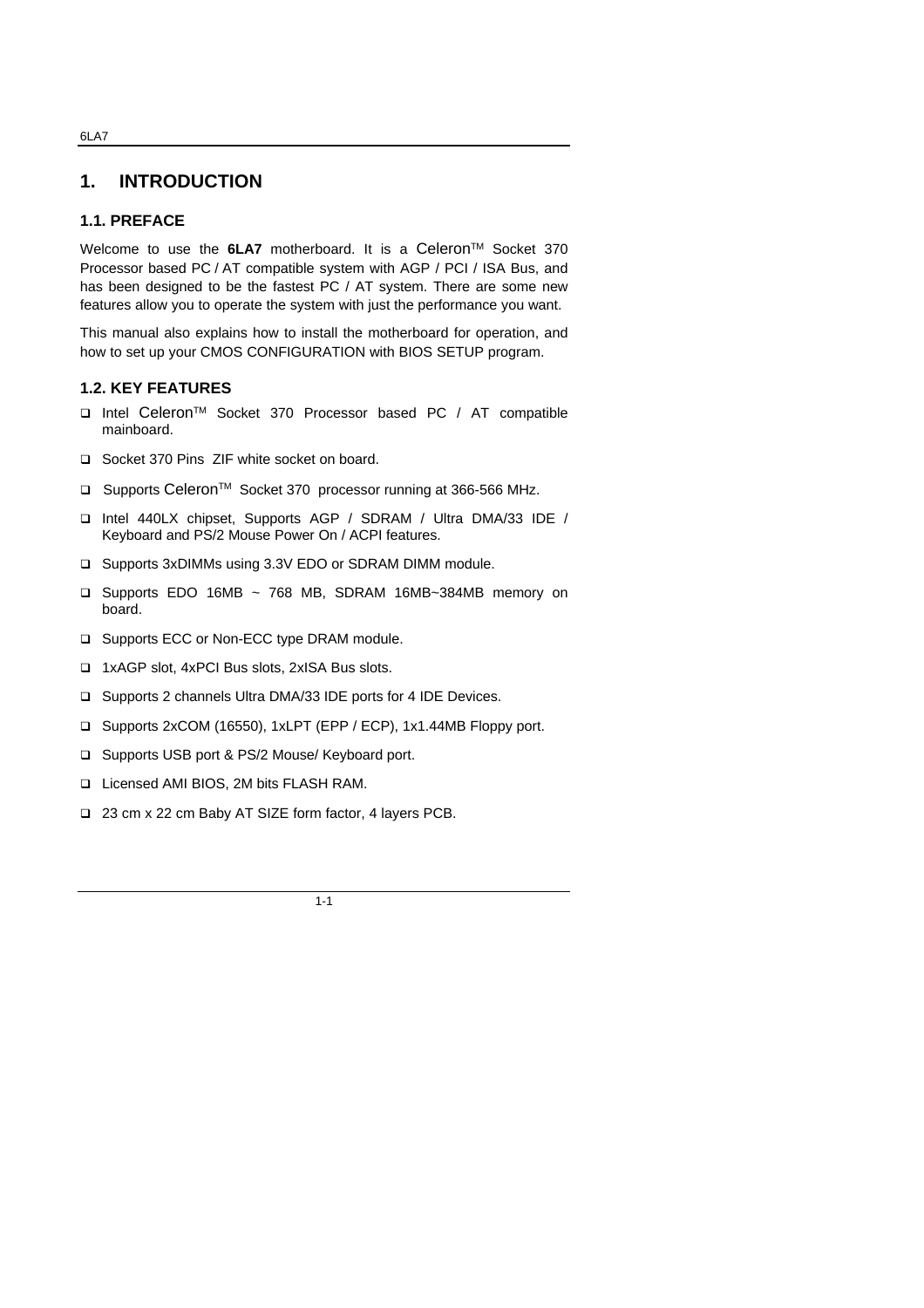# **1. INTRODUCTION**

#### **1.1. PREFACE**

Welcome to use the **6LA7** motherboard. It is a Celeron<sup>™</sup> Socket 370 Processor based PC / AT compatible system with AGP / PCI / ISA Bus, and has been designed to be the fastest PC / AT system. There are some new features allow you to operate the system with just the performance you want.

This manual also explains how to install the motherboard for operation, and how to set up your CMOS CONFIGURATION with BIOS SETUP program.

#### **1.2. KEY FEATURES**

- □ Intel Celeron<sup>™</sup> Socket 370 Processor based PC / AT compatible mainboard.
- q Socket 370 Pins ZIF white socket on board.
- □ Supports Celeron<sup>™</sup> Socket 370 processor running at 366-566 MHz.
- q Intel 440LX chipset, Supports AGP / SDRAM / Ultra DMA/33 IDE / Keyboard and PS/2 Mouse Power On / ACPI features.
- q Supports 3xDIMMs using 3.3V EDO or SDRAM DIMM module.
- q Supports EDO 16MB ~ 768 MB, SDRAM 16MB~384MB memory on board.
- □ Supports ECC or Non-ECC type DRAM module.
- q 1xAGP slot, 4xPCI Bus slots, 2xISA Bus slots.
- □ Supports 2 channels Ultra DMA/33 IDE ports for 4 IDE Devices.
- q Supports 2xCOM (16550), 1xLPT (EPP / ECP), 1x1.44MB Floppy port.
- □ Supports USB port & PS/2 Mouse/ Keyboard port.
- q Licensed AMI BIOS, 2M bits FLASH RAM.
- q 23 cm x 22 cm Baby AT SIZE form factor, 4 layers PCB.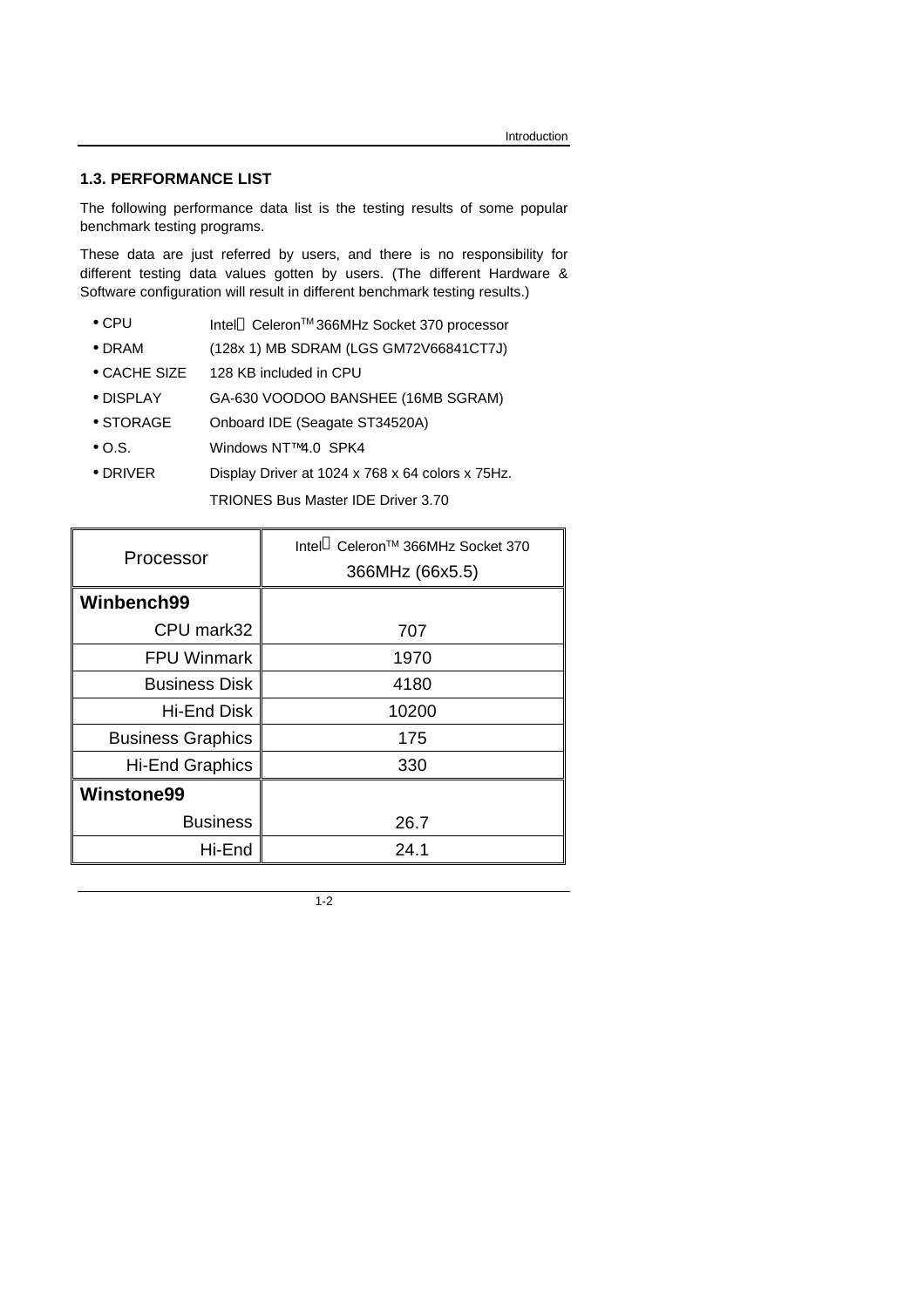## **1.3. PERFORMANCE LIST**

The following performance data list is the testing results of some popular benchmark testing programs.

These data are just referred by users, and there is no responsibility for different testing data values gotten by users. (The different Hardware & Software configuration will result in different benchmark testing results.)

- CPU Intel<sup>®</sup> Celeron<sup>TM</sup> 366MHz Socket 370 processor
- DRAM (128x 1) MB SDRAM (LGS GM72V66841CT7J)
- CACHE SIZE 128 KB included in CPU
- DISPLAY GA-630 VOODOO BANSHEE (16MB SGRAM)
- STORAGE Onboard IDE (Seagate ST34520A)
- O.S. Windows NT™ 4.0 SPK4
- DRIVER Display Driver at 1024 x 768 x 64 colors x 75Hz.

TRIONES Bus Master IDE Driver 3.70

| Processor                | Intel <sup>®</sup> Celeron <sup>™</sup> 366MHz Socket 370<br>366MHz (66x5.5) |
|--------------------------|------------------------------------------------------------------------------|
| Winbench99               |                                                                              |
| CPU mark32               | 707                                                                          |
| <b>FPU Winmark</b>       | 1970                                                                         |
| <b>Business Disk</b>     | 4180                                                                         |
| <b>Hi-End Disk</b>       | 10200                                                                        |
| <b>Business Graphics</b> | 175                                                                          |
| <b>Hi-End Graphics</b>   | 330                                                                          |
| <b>Winstone99</b>        |                                                                              |
| <b>Business</b>          | 26.7                                                                         |
| Hi-End                   | 24.1                                                                         |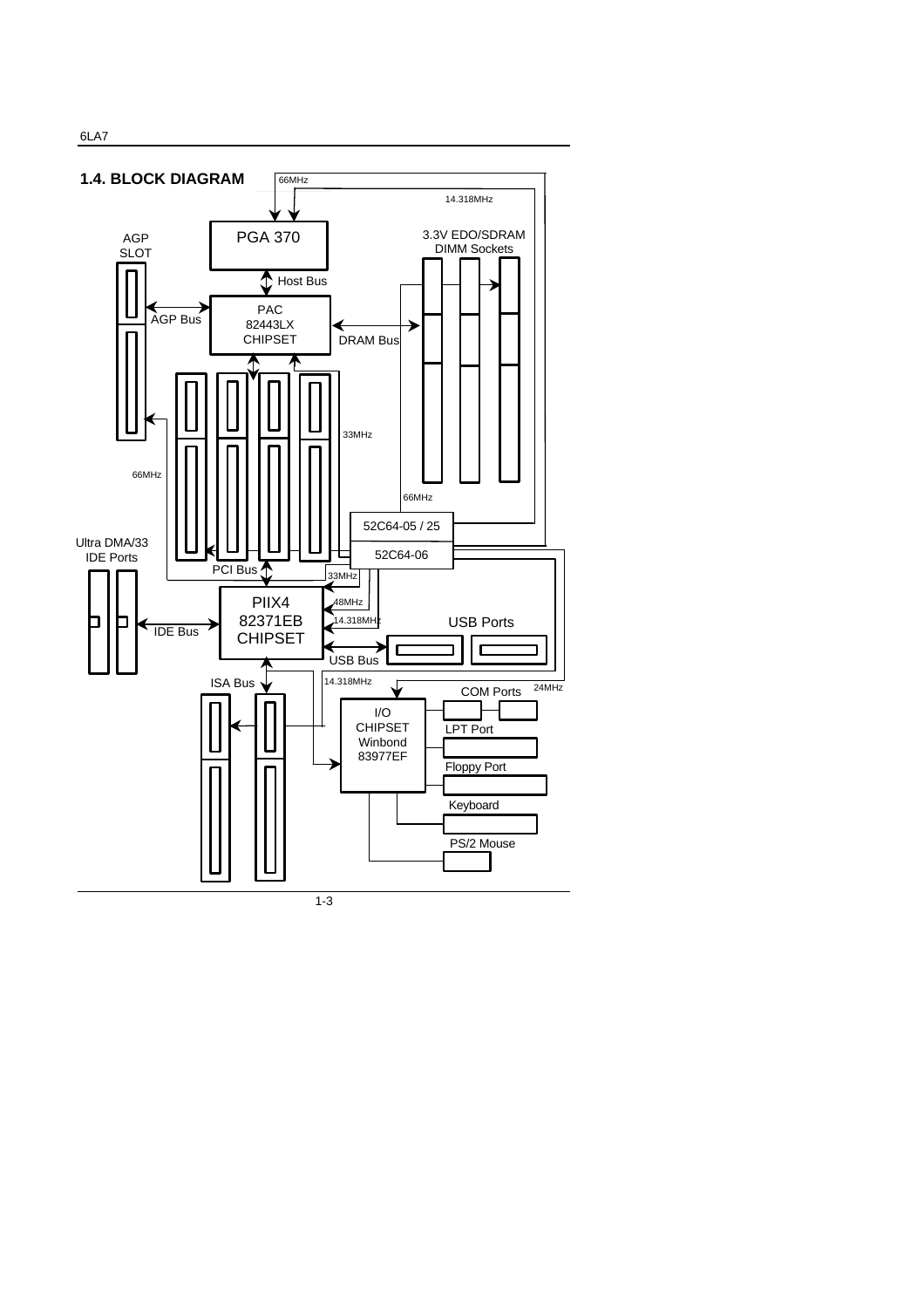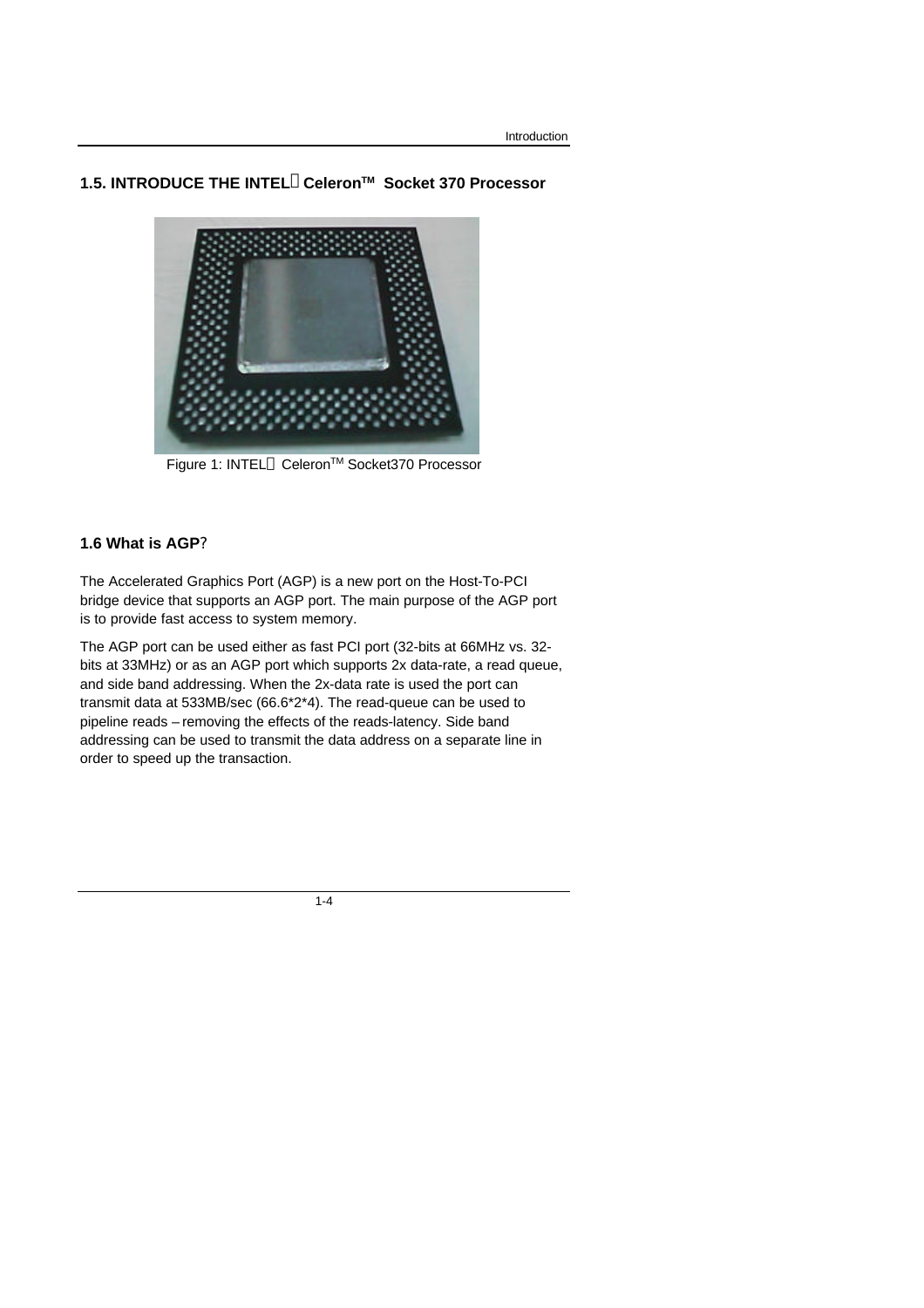# **1.5. INTRODUCE THE INTELâCeleronTM Socket 370 Processor**



Figure 1: INTEL<sup>®</sup> Celeron<sup>™</sup> Socket370 Processor

# **1.6 What is AGP?**

The Accelerated Graphics Port (AGP) is a new port on the Host-To-PCI bridge device that supports an AGP port. The main purpose of the AGP port is to provide fast access to system memory.

The AGP port can be used either as fast PCI port (32-bits at 66MHz vs. 32 bits at 33MHz) or as an AGP port which supports 2x data-rate, a read queue, and side band addressing. When the 2x-data rate is used the port can transmit data at 533MB/sec (66.6\*2\*4). The read-queue can be used to pipeline reads – removing the effects of the reads-latency. Side band addressing can be used to transmit the data address on a separate line in order to speed up the transaction.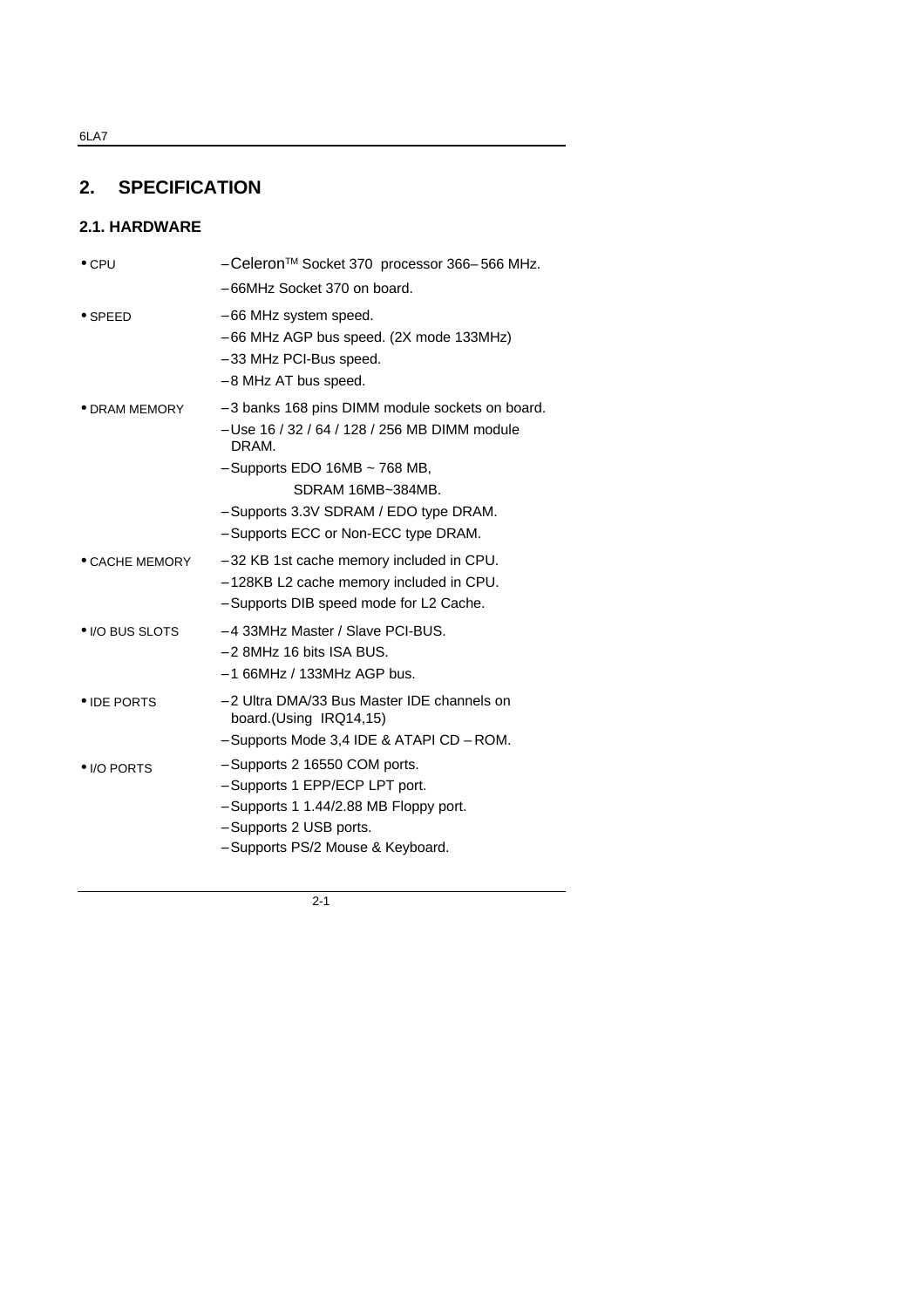# **2. SPECIFICATION**

# **2.1. HARDWARE**

| $\bullet$ CPU         | - Celeron™ Socket 370 processor 366-566 MHz.<br>- 66MHz Socket 370 on board.                                                                                                                                                                              |
|-----------------------|-----------------------------------------------------------------------------------------------------------------------------------------------------------------------------------------------------------------------------------------------------------|
| $\bullet$ SPEED       | – 66 MHz system speed.<br>- 66 MHz AGP bus speed. (2X mode 133MHz)<br>- 33 MHz PCI-Bus speed.<br>- 8 MHz AT bus speed.                                                                                                                                    |
| $\bullet$ DRAM MEMORY | - 3 banks 168 pins DIMM module sockets on board.<br>- Use 16 / 32 / 64 / 128 / 256 MB DIMM module<br>DRAM.<br>$-$ Supports EDO 16MB $\sim$ 768 MB,<br>SDRAM 16MB~384MB.<br>- Supports 3.3V SDRAM / EDO type DRAM.<br>- Supports ECC or Non-ECC type DRAM. |
| • CACHE MEMORY        | - 32 KB 1st cache memory included in CPU.<br>- 128KB L2 cache memory included in CPU.<br>- Supports DIB speed mode for L2 Cache.                                                                                                                          |
| • I/O BUS SLOTS       | - 4 33MHz Master / Slave PCI-BUS.<br>$-2$ 8MHz 16 bits ISA BUS.<br>$-166$ MHz / 133MHz AGP bus.                                                                                                                                                           |
| • IDE PORTS           | - 2 Ultra DMA/33 Bus Master IDE channels on<br>board.(Using IRQ14,15)<br>- Supports Mode 3,4 IDE & ATAPI CD - ROM.                                                                                                                                        |
| • I/O PORTS           | - Supports 2 16550 COM ports.<br>- Supports 1 EPP/ECP LPT port.<br>- Supports 1 1.44/2.88 MB Floppy port.<br>- Supports 2 USB ports.<br>- Supports PS/2 Mouse & Keyboard.                                                                                 |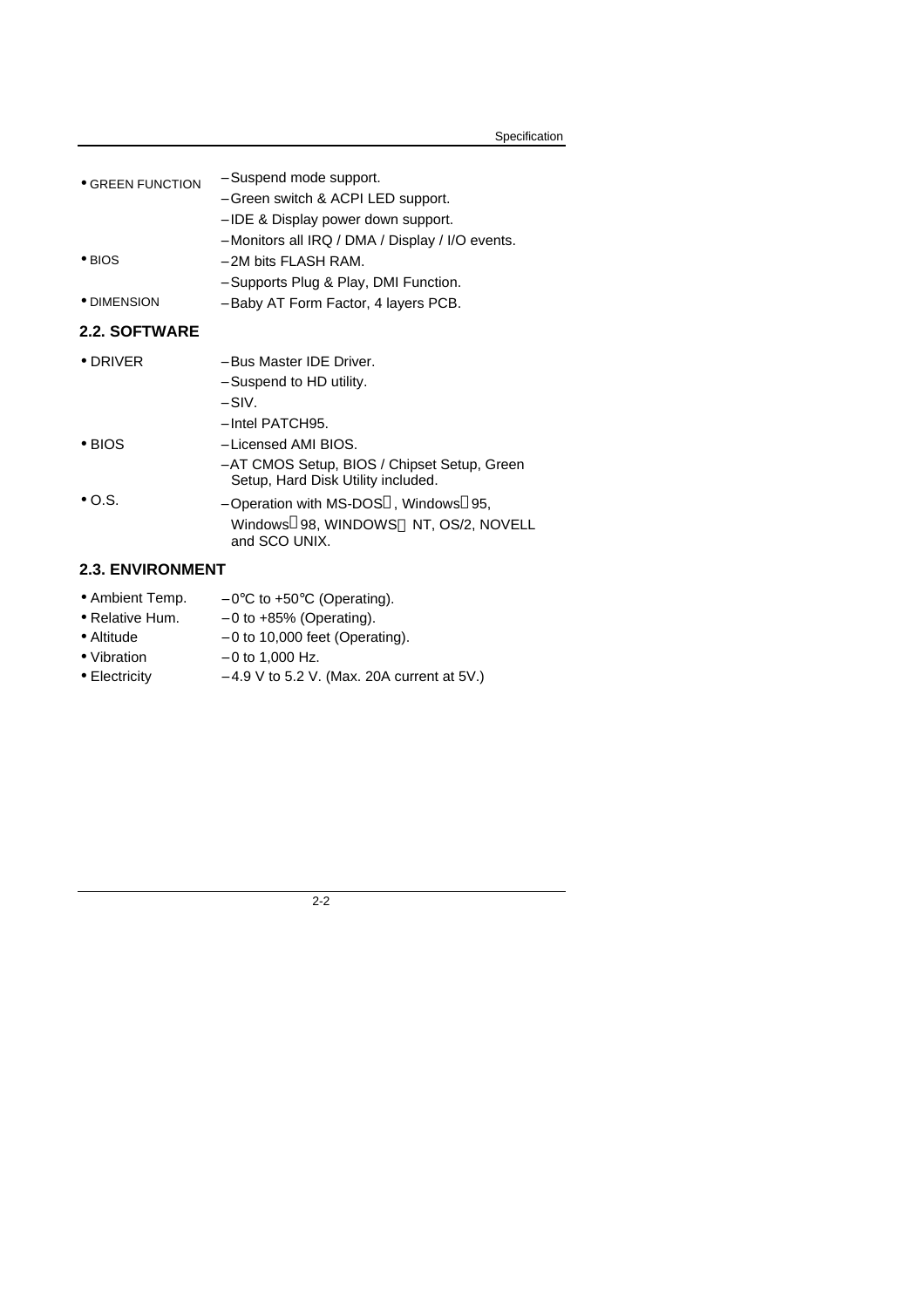| Specification |
|---------------|
|---------------|

| <b>GREEN FUNCTION</b>   | - Suspend mode support.<br>- Green switch & ACPI LED support.                                                                                              |
|-------------------------|------------------------------------------------------------------------------------------------------------------------------------------------------------|
| $\bullet$ BIOS          | – IDE & Display power down support.<br>- Monitors all IRQ / DMA / Display / I/O events.<br>$-$ 2M bits FLASH RAM.<br>- Supports Plug & Play, DMI Function. |
| • DIMENSION             | - Baby AT Form Factor, 4 layers PCB.                                                                                                                       |
| 2.2. SOFTWARE           |                                                                                                                                                            |
| $\bullet$ DRIVER        | - Bus Master IDE Driver.<br>- Suspend to HD utility.<br>$-$ SIV.<br>$-$ Intel PATCH95.                                                                     |
| $\bullet$ BIOS          | - Licensed AMI BIOS.<br>- AT CMOS Setup, BIOS / Chipset Setup, Green<br>Setup, Hard Disk Utility included.                                                 |
| $\bullet$ O.S.          | - Operation with MS-DOS <sup>®</sup> , Windows <sup>®</sup> 95,<br>Windows®98, WINDOWS™ NT, OS/2, NOVELL<br>and SCO UNIX.                                  |
| <b>2.3. ENVIRONMENT</b> |                                                                                                                                                            |

- Ambient Temp.  $-0$ °C to +50°C (Operating).
- Relative Hum.  $-0$  to +85% (Operating).
- Altitude − 0 to 10,000 feet (Operating).
- Vibration  $-0$  to 1,000 Hz.
- Electricity − 4.9 V to 5.2 V. (Max. 20A current at 5V.)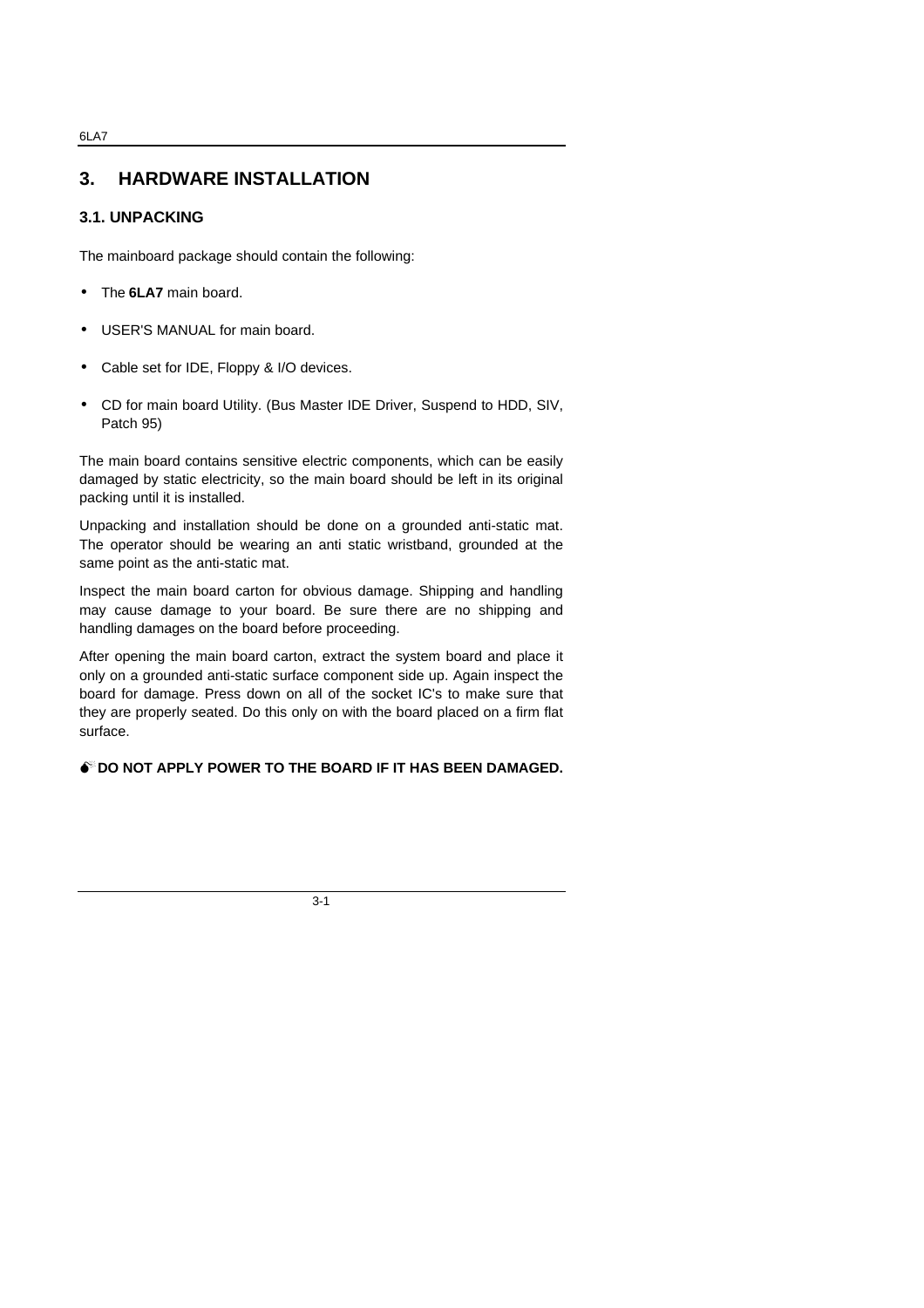# **3. HARDWARE INSTALLATION**

# **3.1. UNPACKING**

The mainboard package should contain the following:

- The **6LA7** main board.
- USER'S MANUAL for main board.
- Cable set for IDE, Floppy & I/O devices.
- CD for main board Utility. (Bus Master IDE Driver, Suspend to HDD, SIV, Patch 95)

The main board contains sensitive electric components, which can be easily damaged by static electricity, so the main board should be left in its original packing until it is installed.

Unpacking and installation should be done on a grounded anti-static mat. The operator should be wearing an anti static wristband, grounded at the same point as the anti-static mat.

Inspect the main board carton for obvious damage. Shipping and handling may cause damage to your board. Be sure there are no shipping and handling damages on the board before proceeding.

After opening the main board carton, extract the system board and place it only on a grounded anti-static surface component side up. Again inspect the board for damage. Press down on all of the socket IC's to make sure that they are properly seated. Do this only on with the board placed on a firm flat surface.

## **M<sup>\*</sup>DO NOT APPLY POWER TO THE BOARD IF IT HAS BEEN DAMAGED.**

3-1

#### 6LA7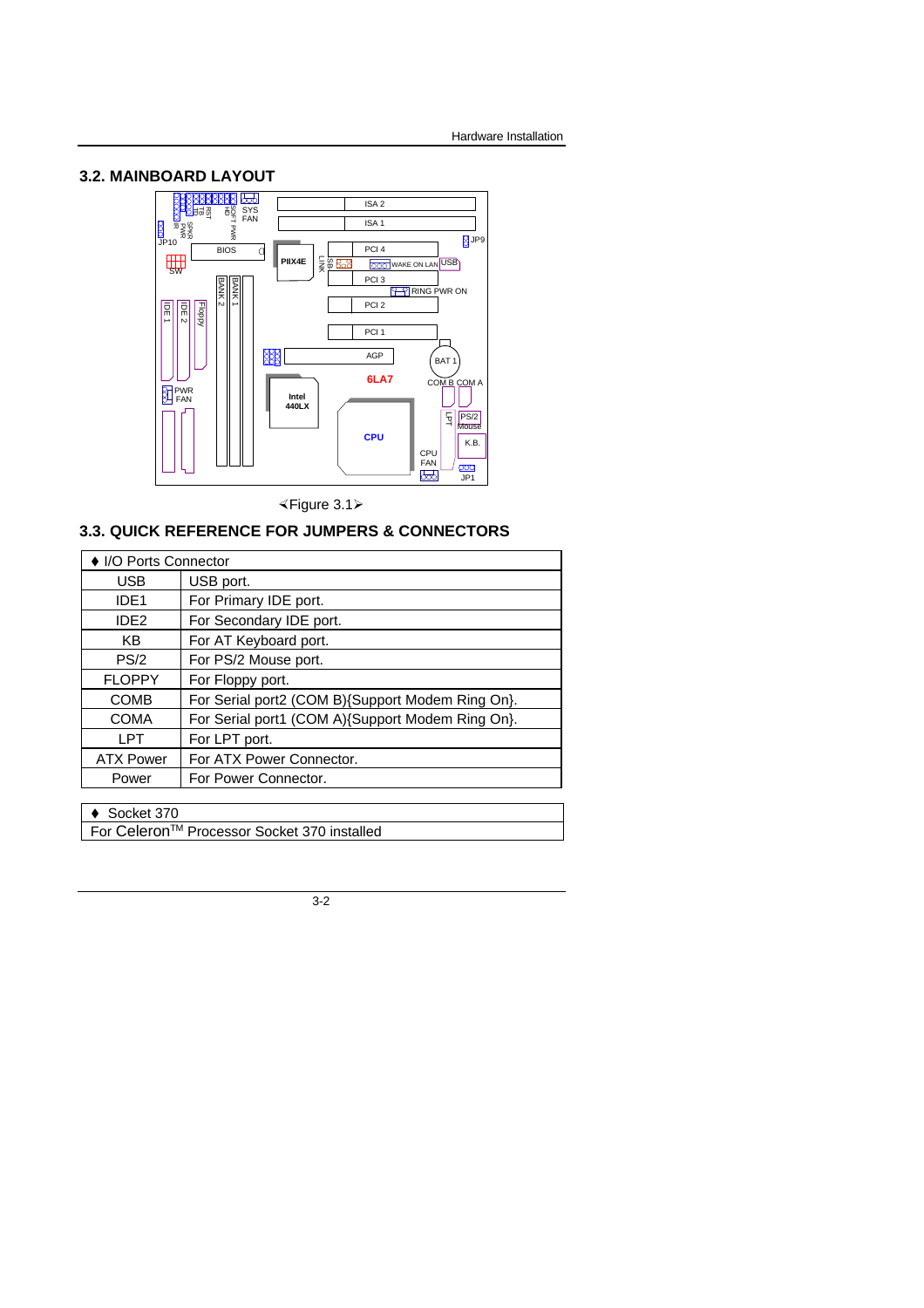## **3.2. MAINBOARD LAYOUT**



×Figure 3.1ÿ

# **3.3. QUICK REFERENCE FOR JUMPERS & CONNECTORS**

| ♦ I/O Ports Connector |                                                  |  |
|-----------------------|--------------------------------------------------|--|
| <b>USB</b>            | USB port.                                        |  |
| IDE <sub>1</sub>      | For Primary IDE port.                            |  |
| IDE <sub>2</sub>      | For Secondary IDE port.                          |  |
| KB                    | For AT Keyboard port.                            |  |
| PS/2                  | For PS/2 Mouse port.                             |  |
| <b>FLOPPY</b>         | For Floppy port.                                 |  |
| <b>COMB</b>           | For Serial port2 (COM B){Support Modem Ring On}. |  |
| <b>COMA</b>           | For Serial port1 (COM A){Support Modem Ring On}. |  |
| LPT                   | For LPT port.                                    |  |
| <b>ATX Power</b>      | For ATX Power Connector.                         |  |
| Power                 | For Power Connector.                             |  |
|                       |                                                  |  |

 $\triangleleft$  Socket 370

For CeleronTM Processor Socket 370 installed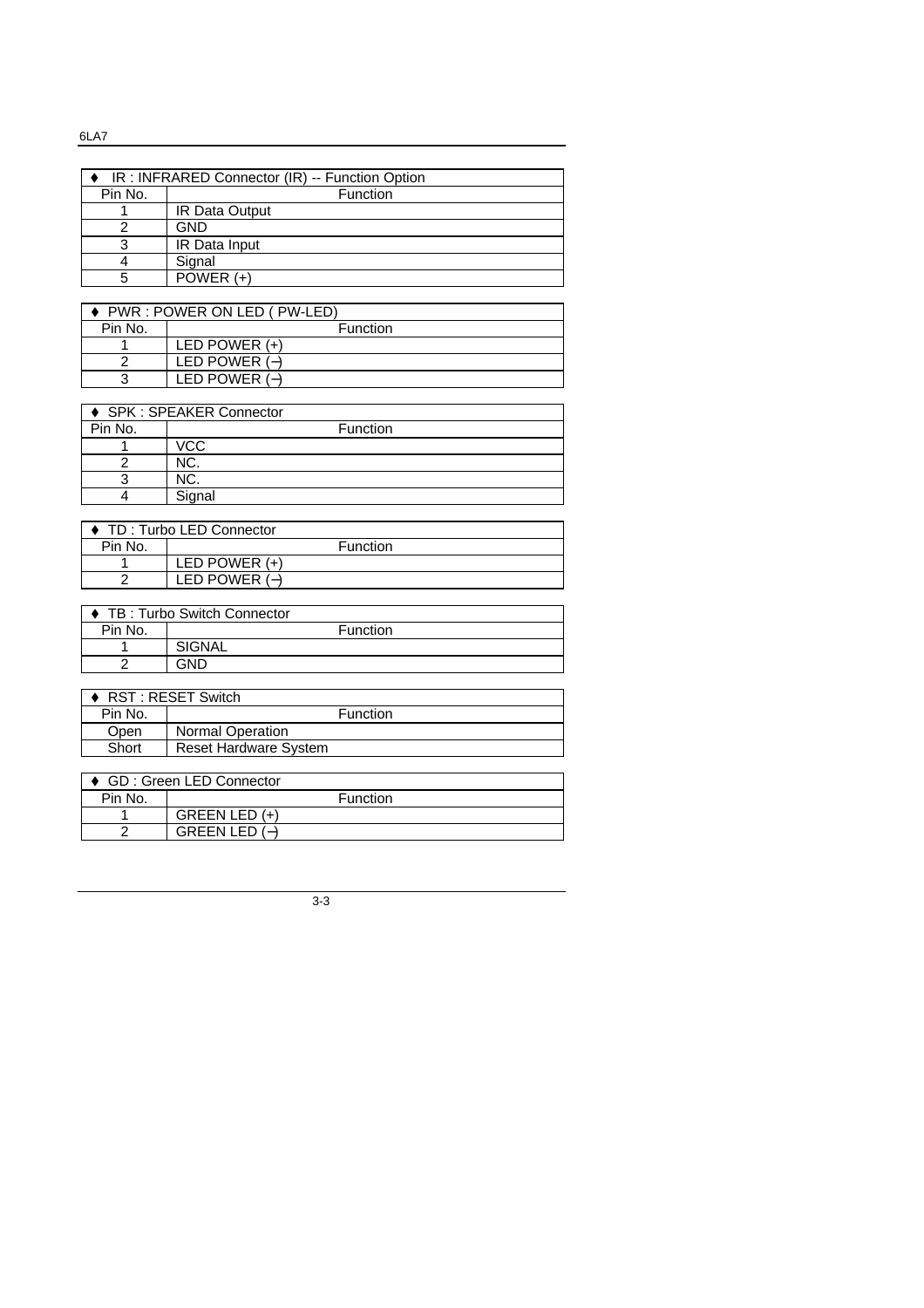6LA7

| IR: INFRARED Connector (IR) -- Function Option |                       |  |
|------------------------------------------------|-----------------------|--|
| Pin No.                                        | Function              |  |
|                                                | <b>IR Data Output</b> |  |
|                                                | <b>GND</b>            |  |
| ર                                              | IR Data Input         |  |
|                                                | Signal                |  |
|                                                | $POWER (+)$           |  |

| PWR: POWER ON LED (PW-LED) |                 |  |
|----------------------------|-----------------|--|
| Pin No.                    | Function        |  |
|                            | LED POWER $(+)$ |  |
|                            | LED POWER $(-)$ |  |
|                            | LED POWER $(-)$ |  |

| ♦ SPK : SPEAKER Connector |            |  |
|---------------------------|------------|--|
| Pin No.                   | Function   |  |
|                           | <b>VCC</b> |  |
|                           | NC.        |  |
|                           | NC.        |  |
|                           | Signal     |  |

| ♦ TD: Turbo LED Connector |                 |  |
|---------------------------|-----------------|--|
| Pin No.                   | <b>Function</b> |  |
|                           | LED POWER $(+)$ |  |
|                           | LED POWER $(-)$ |  |

| TB: Turbo Switch Connector |          |  |
|----------------------------|----------|--|
| Pin No.                    | Function |  |
|                            | SIGNAL   |  |
| ◠                          | GND      |  |

| ◆ TB: Turbo Switch Connector |                              |  |  |
|------------------------------|------------------------------|--|--|
| Pin No.                      | Function                     |  |  |
|                              | <b>SIGNAL</b>                |  |  |
| 2                            | <b>GND</b>                   |  |  |
|                              |                              |  |  |
| ♦ RST : RESET Switch         |                              |  |  |
| Pin No.                      | Function                     |  |  |
| Open                         | <b>Normal Operation</b>      |  |  |
| Short                        | <b>Reset Hardware System</b> |  |  |

| GD: Green LED Connector |                 |          |  |
|-------------------------|-----------------|----------|--|
| Pin No.                 |                 | Function |  |
|                         | GREEN LED $(+)$ |          |  |
|                         | GREEN LED $(-)$ |          |  |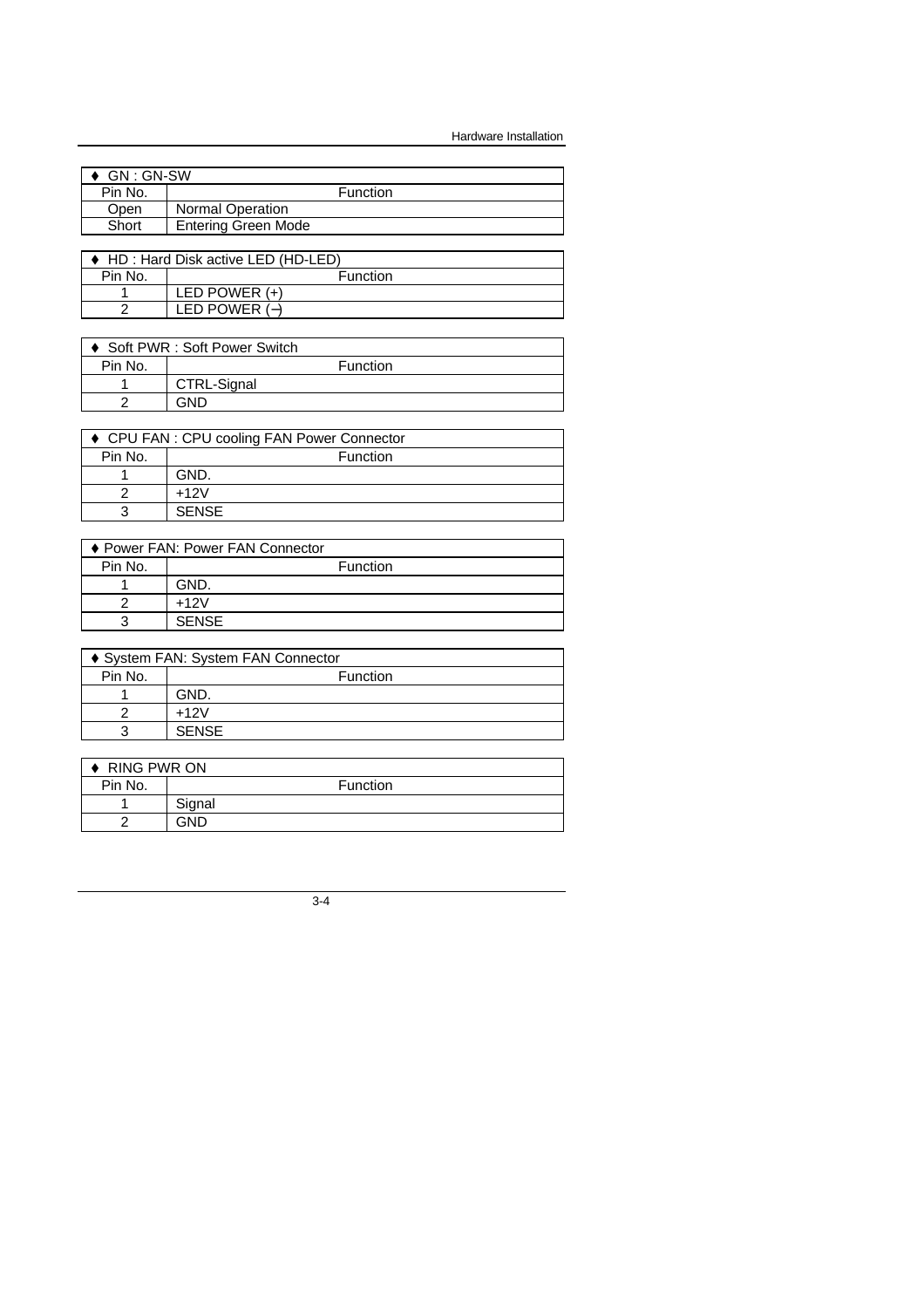Hardware Installation

| GN : GN-SW |                            |          |  |
|------------|----------------------------|----------|--|
| Pin No.    |                            | Function |  |
| Open       | <b>Normal Operation</b>    |          |  |
| Short      | <b>Entering Green Mode</b> |          |  |
|            |                            |          |  |

| ♦ HD : Hard Disk active LED (HD-LED) |                 |  |
|--------------------------------------|-----------------|--|
| Pin No.                              | Function        |  |
|                                      | LED POWER $(+)$ |  |
|                                      | LED POWER $(-)$ |  |

| ♦ Soft PWR : Soft Power Switch |                 |  |
|--------------------------------|-----------------|--|
| Pin No.                        | <b>Function</b> |  |
|                                | CTRL-Signal     |  |
|                                | GND             |  |

| ♦ CPU FAN : CPU cooling FAN Power Connector |              |  |
|---------------------------------------------|--------------|--|
| Pin No.                                     | Function     |  |
|                                             | GND.         |  |
|                                             | $+12V$       |  |
| ว                                           | <b>SENSE</b> |  |

|         | ♦ Power FAN: Power FAN Connector |
|---------|----------------------------------|
| Pin No. | <b>Function</b>                  |
|         | GND.                             |
|         | $+12V$                           |
| ?       | <b>SENSE</b>                     |

| ♦ System FAN: System FAN Connector |              |  |
|------------------------------------|--------------|--|
| Pin No.                            | Function     |  |
|                                    | GND.         |  |
|                                    | $+12V$       |  |
| ?                                  | <b>SENSE</b> |  |

| <b>RING PWR ON</b> |        |          |
|--------------------|--------|----------|
| Pin No.            |        | Function |
|                    | Signal |          |
| ╭                  | GND.   |          |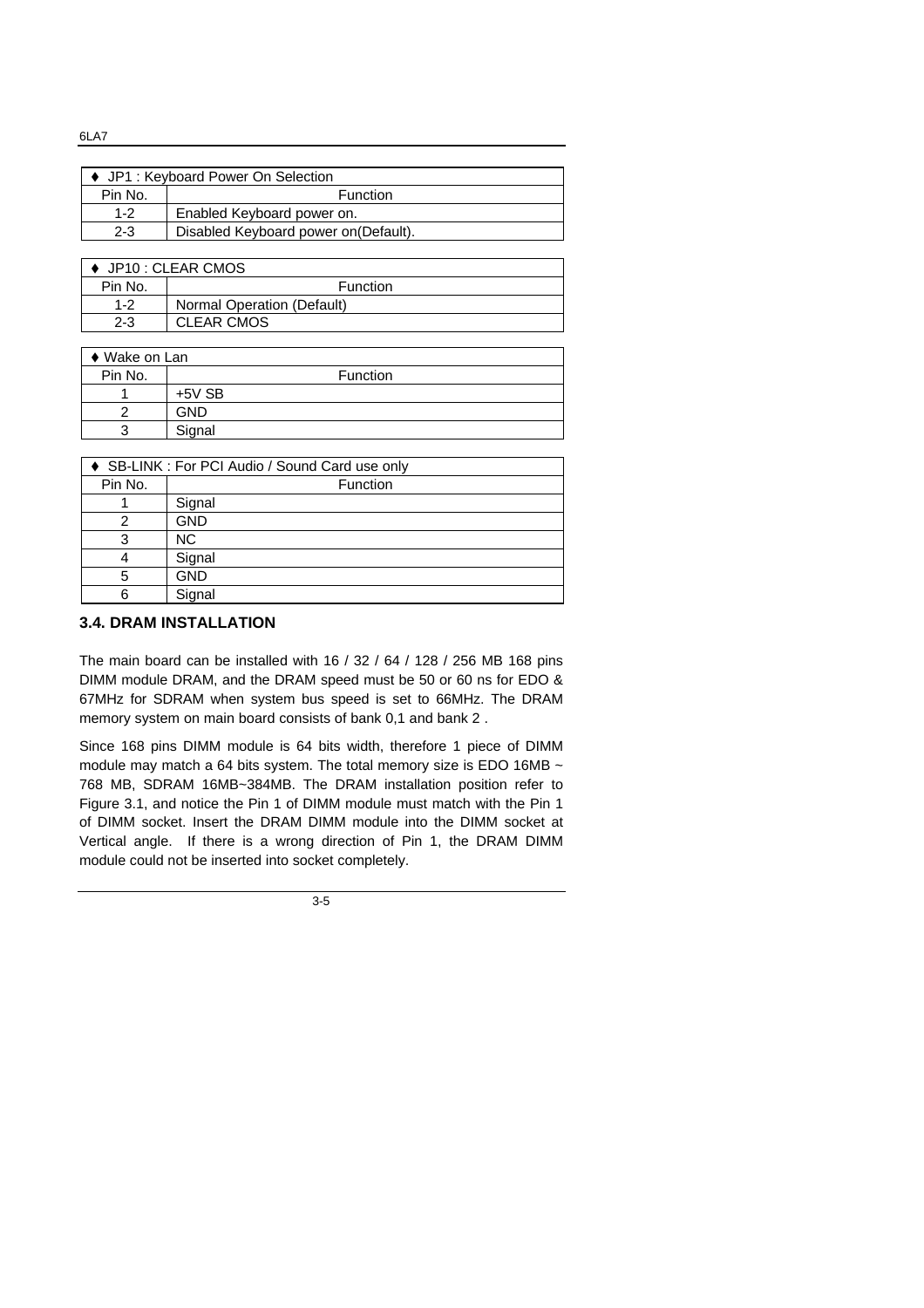♦ JP1 : Keyboard Power On Selection Pin No. Function 1-2 Enabled Keyboard power on. 2-3 Disabled Keyboard power on(Default).

| $\bullet$ JP10 : CLEAR CMOS |                            |  |
|-----------------------------|----------------------------|--|
| Pin No.                     | <b>Function</b>            |  |
| $1 - 2$                     | Normal Operation (Default) |  |
| $2 - 3$                     | <b>CLEAR CMOS</b>          |  |

| $\bullet$ Wake on Lan |            |          |
|-----------------------|------------|----------|
| Pin No.               |            | Function |
|                       | $+5V$ SB   |          |
|                       | <b>GND</b> |          |
| 3                     | Signal     |          |
|                       |            |          |

| ♦ SB-LINK : For PCI Audio / Sound Card use only |            |  |
|-------------------------------------------------|------------|--|
| Pin No.                                         | Function   |  |
|                                                 | Signal     |  |
|                                                 | <b>GND</b> |  |
|                                                 | <b>NC</b>  |  |
|                                                 | Signal     |  |
| 5                                               | <b>GND</b> |  |
|                                                 | Signal     |  |

# **3.4. DRAM INSTALLATION**

The main board can be installed with 16 / 32 / 64 / 128 / 256 MB 168 pins DIMM module DRAM, and the DRAM speed must be 50 or 60 ns for EDO & 67MHz for SDRAM when system bus speed is set to 66MHz. The DRAM memory system on main board consists of bank 0,1 and bank 2 .

Since 168 pins DIMM module is 64 bits width, therefore 1 piece of DIMM module may match a 64 bits system. The total memory size is EDO 16MB  $\sim$ 768 MB, SDRAM 16MB~384MB. The DRAM installation position refer to Figure 3.1, and notice the Pin 1 of DIMM module must match with the Pin 1 of DIMM socket. Insert the DRAM DIMM module into the DIMM socket at Vertical angle. If there is a wrong direction of Pin 1, the DRAM DIMM module could not be inserted into socket completely.

3-5

#### 6LA7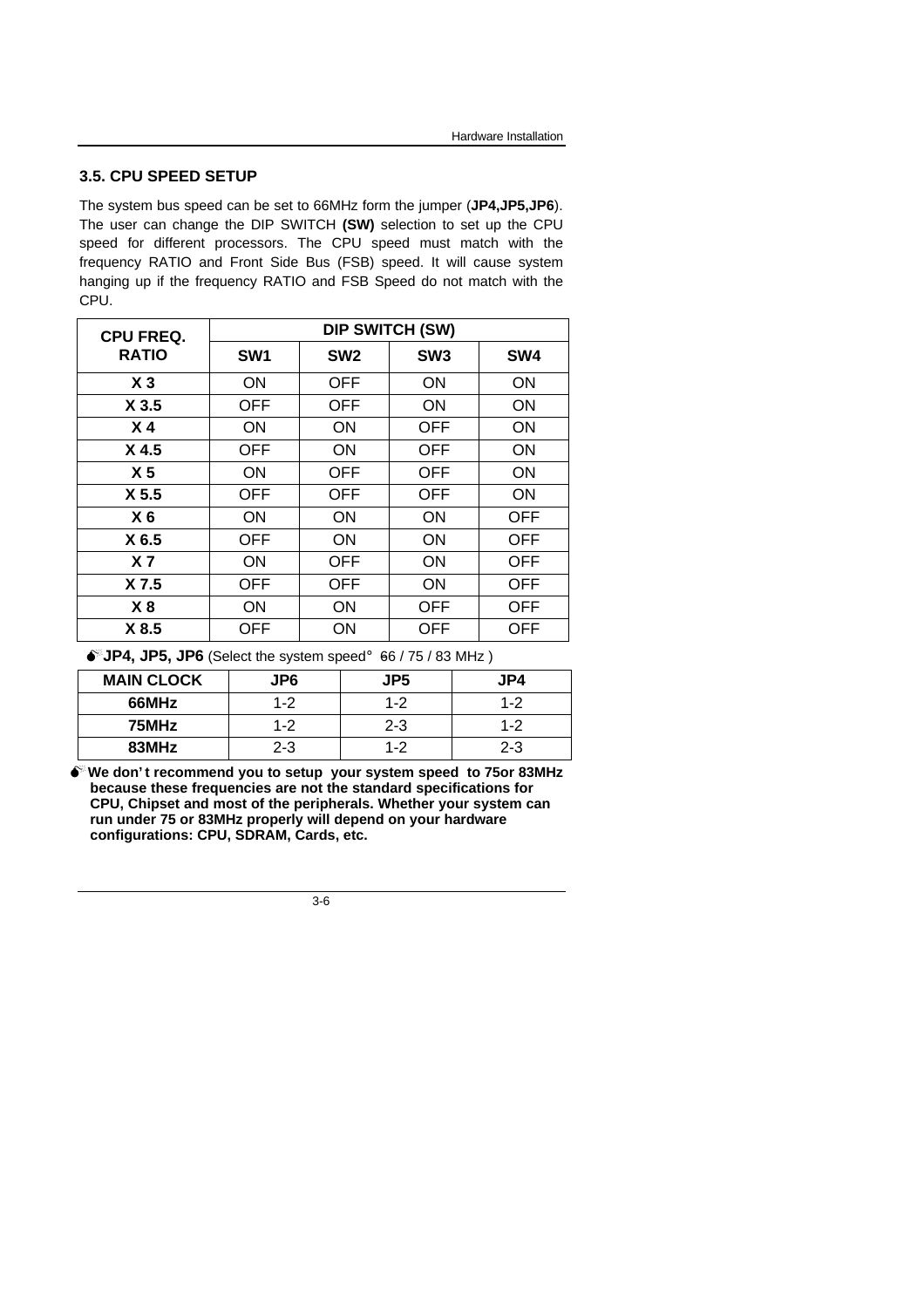## **3.5. CPU SPEED SETUP**

The system bus speed can be set to 66MHz form the jumper (**JP4,JP5,JP6**). The user can change the DIP SWITCH **(SW)** selection to set up the CPU speed for different processors. The CPU speed must match with the frequency RATIO and Front Side Bus (FSB) speed. It will cause system hanging up if the frequency RATIO and FSB Speed do not match with the CPU.

| <b>CPU FREQ.</b> | <b>DIP SWITCH (SW)</b> |                 |                 |            |
|------------------|------------------------|-----------------|-----------------|------------|
| <b>RATIO</b>     | SW <sub>1</sub>        | SW <sub>2</sub> | SW <sub>3</sub> | SW4        |
| X <sub>3</sub>   | <b>ON</b>              | <b>OFF</b>      | ON              | ON         |
| X <sub>3.5</sub> | <b>OFF</b>             | <b>OFF</b>      | <b>ON</b>       | <b>ON</b>  |
| X <sub>4</sub>   | <b>ON</b>              | <b>ON</b>       | <b>OFF</b>      | <b>ON</b>  |
| X <sub>4.5</sub> | <b>OFF</b>             | <b>ON</b>       | <b>OFF</b>      | <b>ON</b>  |
| X <sub>5</sub>   | <b>ON</b>              | <b>OFF</b>      | <b>OFF</b>      | ON         |
| X <sub>5.5</sub> | <b>OFF</b>             | <b>OFF</b>      | <b>OFF</b>      | <b>ON</b>  |
| X <sub>6</sub>   | <b>ON</b>              | <b>ON</b>       | <b>ON</b>       | <b>OFF</b> |
| X 6.5            | <b>OFF</b>             | <b>ON</b>       | ON              | <b>OFF</b> |
| X <sub>7</sub>   | <b>ON</b>              | <b>OFF</b>      | ON              | <b>OFF</b> |
| X 7.5            | <b>OFF</b>             | <b>OFF</b>      | <b>ON</b>       | <b>OFF</b> |
| X <sup>8</sup>   | <b>ON</b>              | <b>ON</b>       | <b>OFF</b>      | <b>OFF</b> |
| X 8.5            | OFF                    | ON              | OFF             | OFF        |

 $\bullet$ <sup>*''*</sup> JP4, JP5, JP6</sub> (Select the system speed; 66 / 75 / 83 MHz)

| <b>MAIN CLOCK</b> | JP <sub>6</sub> | JP <sub>5</sub> | JP4     |
|-------------------|-----------------|-----------------|---------|
| 66MHz             | $1 - 2$         | $1 - 2$         | $1 - 2$ |
| 75MHz             | 1-2             | $2 - 3$         | $1 - 2$ |
| 83MHz             | 2-3             | $1 - 2$         | $2 - 3$ |

**MWe don' t recommend you to setup your system speed to 75or 83MHz because these frequencies are not the standard specifications for CPU, Chipset and most of the peripherals. Whether your system can run under 75 or 83MHz properly will depend on your hardware configurations: CPU, SDRAM, Cards, etc.**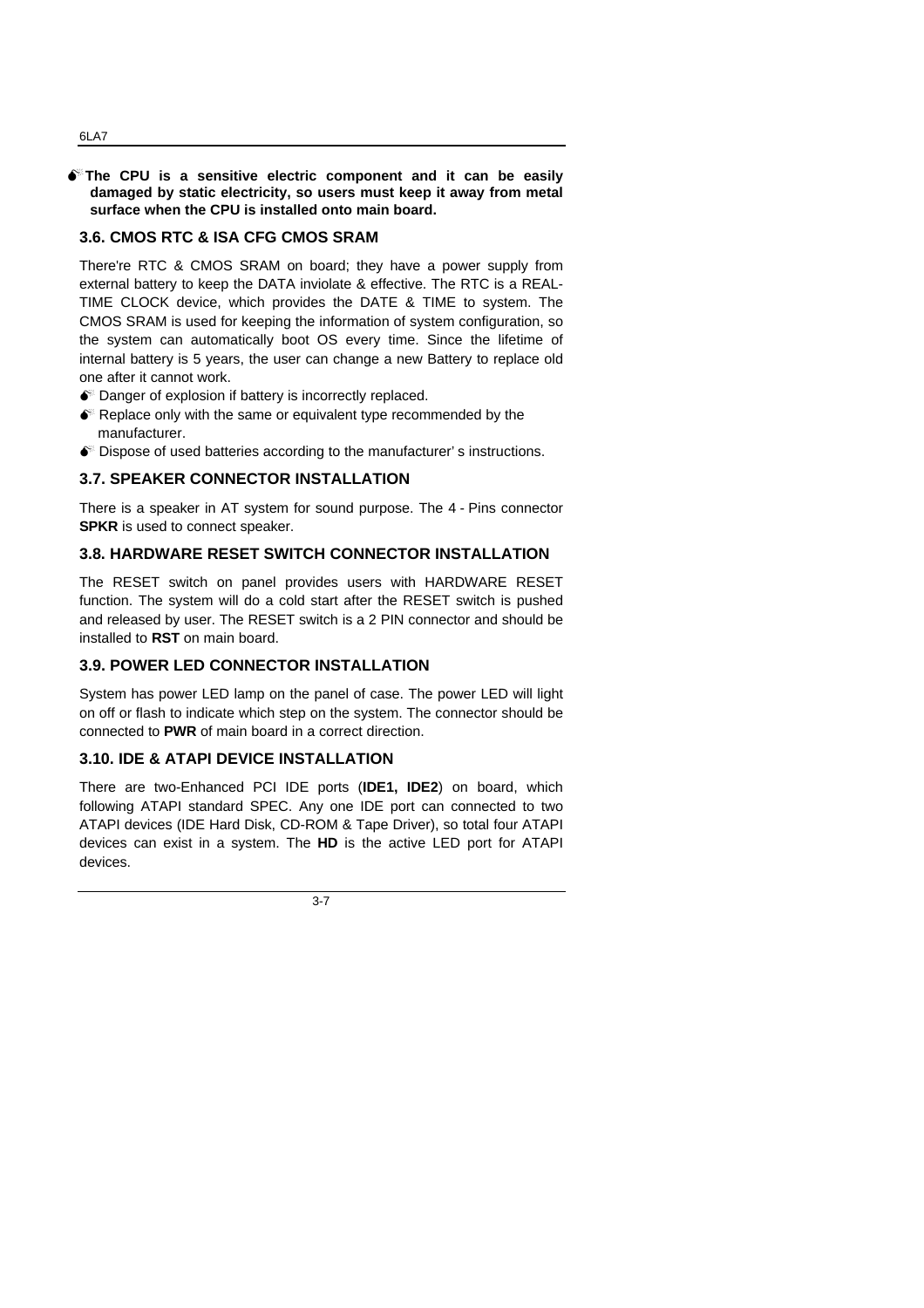#### $\bullet$ <sup>\*</sup>The CPU is a sensitive electric component and it can be easily **damaged by static electricity, so users must keep it away from metal surface when the CPU is installed onto main board.**

## **3.6. CMOS RTC & ISA CFG CMOS SRAM**

There're RTC & CMOS SRAM on board; they have a power supply from external battery to keep the DATA inviolate & effective. The RTC is a REAL-TIME CLOCK device, which provides the DATE & TIME to system. The CMOS SRAM is used for keeping the information of system configuration, so the system can automatically boot OS every time. Since the lifetime of internal battery is 5 years, the user can change a new Battery to replace old one after it cannot work.

- $\bullet$  Danger of explosion if battery is incorrectly replaced.
- $\bullet$  Replace only with the same or equivalent type recommended by the manufacturer.
- $\bullet$  Dispose of used batteries according to the manufacturer's instructions.

# **3.7. SPEAKER CONNECTOR INSTALLATION**

There is a speaker in AT system for sound purpose. The 4 - Pins connector **SPKR** is used to connect speaker.

## **3.8. HARDWARE RESET SWITCH CONNECTOR INSTALLATION**

The RESET switch on panel provides users with HARDWARE RESET function. The system will do a cold start after the RESET switch is pushed and released by user. The RESET switch is a 2 PIN connector and should be installed to **RST** on main board.

## **3.9. POWER LED CONNECTOR INSTALLATION**

System has power LED lamp on the panel of case. The power LED will light on off or flash to indicate which step on the system. The connector should be connected to **PWR** of main board in a correct direction.

## **3.10. IDE & ATAPI DEVICE INSTALLATION**

There are two-Enhanced PCI IDE ports (**IDE1, IDE2**) on board, which following ATAPI standard SPEC. Any one IDE port can connected to two ATAPI devices (IDE Hard Disk, CD-ROM & Tape Driver), so total four ATAPI devices can exist in a system. The **HD** is the active LED port for ATAPI devices.

3-7

#### 6LA7